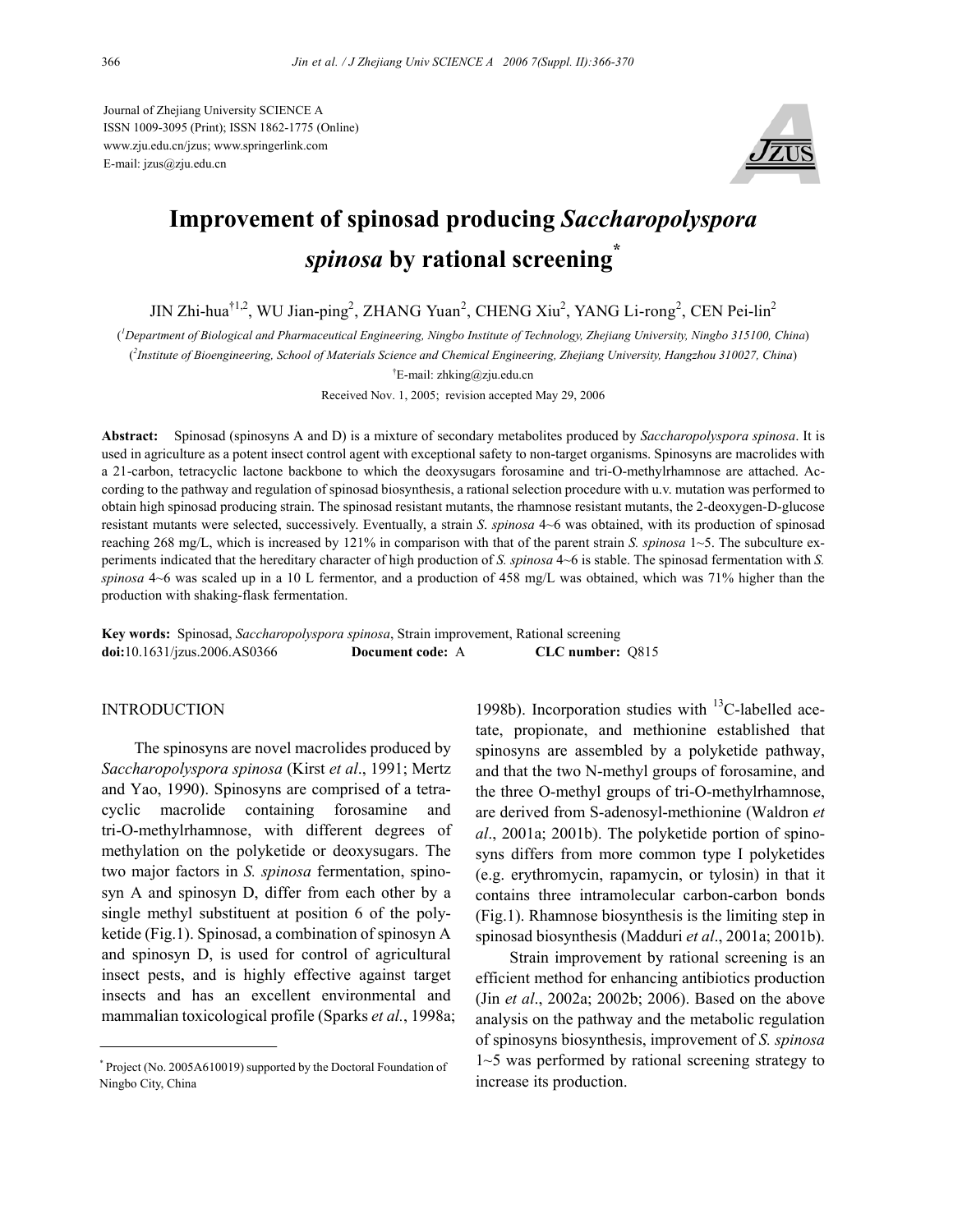Journal of Zhejiang University SCIENCE A ISSN 1009-3095 (Print); ISSN 1862-1775 (Online) www.zju.edu.cn/jzus; www.springerlink.com E-mail: jzus@zju.edu.cn



# **Improvement of spinosad producing** *Saccharopolyspora spinosa* **by rational screening\***

JIN Zhi-hua<sup>†1,2</sup>, WU Jian-ping<sup>2</sup>, ZHANG Yuan<sup>2</sup>, CHENG Xiu<sup>2</sup>, YANG Li-rong<sup>2</sup>, CEN Pei-lin<sup>2</sup>

( *1 Department of Biological and Pharmaceutical Engineering, Ningbo Institute of Technology, Zhejiang University, Ningbo 315100, China*)

( *2 Institute of Bioengineering, School of Materials Science and Chemical Engineering, Zhejiang University, Hangzhou 310027, China*)

† E-mail: zhking@zju.edu.cn

Received Nov. 1, 2005; revision accepted May 29, 2006

**Abstract:** Spinosad (spinosyns A and D) is a mixture of secondary metabolites produced by *Saccharopolyspora spinosa*. It is used in agriculture as a potent insect control agent with exceptional safety to non-target organisms. Spinosyns are macrolides with a 21-carbon, tetracyclic lactone backbone to which the deoxysugars forosamine and tri-O-methylrhamnose are attached. According to the pathway and regulation of spinosad biosynthesis, a rational selection procedure with u.v. mutation was performed to obtain high spinosad producing strain. The spinosad resistant mutants, the rhamnose resistant mutants, the 2-deoxygen-D-glucose resistant mutants were selected, successively. Eventually, a strain *S*. *spinosa* 4~6 was obtained, with its production of spinosad reaching 268 mg/L, which is increased by 121% in comparison with that of the parent strain *S. spinosa* 1~5. The subculture experiments indicated that the hereditary character of high production of *S. spinosa* 4~6 is stable. The spinosad fermentation with *S. spinosa* 4~6 was scaled up in a 10 L fermentor, and a production of 458 mg/L was obtained, which was 71% higher than the production with shaking-flask fermentation.

| <b>Key words:</b> Spinosad, Saccharopolyspora spinosa, Strain improvement, Rational screening |                  |                  |  |
|-----------------------------------------------------------------------------------------------|------------------|------------------|--|
| $\text{doi: } 10.1631 / \text{jzus}.2006 \text{. } AS0366$                                    | Document code: A | CLC number: 0815 |  |

## INTRODUCTION

The spinosyns are novel macrolides produced by *Saccharopolyspora spinosa* (Kirst *et al*., 1991; Mertz and Yao, 1990). Spinosyns are comprised of a tetracyclic macrolide containing forosamine and tri-O-methylrhamnose, with different degrees of methylation on the polyketide or deoxysugars. The two major factors in *S. spinosa* fermentation, spinosyn A and spinosyn D, differ from each other by a single methyl substituent at position 6 of the polyketide (Fig.1). Spinosad, a combination of spinosyn A and spinosyn D, is used for control of agricultural insect pests, and is highly effective against target insects and has an excellent environmental and mammalian toxicological profile (Sparks *et al.*, 1998a;

1998b). Incorporation studies with  $^{13}$ C-labelled acetate, propionate, and methionine established that spinosyns are assembled by a polyketide pathway, and that the two N-methyl groups of forosamine, and the three O-methyl groups of tri-O-methylrhamnose, are derived from S-adenosyl-methionine (Waldron *et al*., 2001a; 2001b). The polyketide portion of spinosyns differs from more common type I polyketides (e.g. erythromycin, rapamycin, or tylosin) in that it contains three intramolecular carbon-carbon bonds (Fig.1). Rhamnose biosynthesis is the limiting step in spinosad biosynthesis (Madduri *et al*., 2001a; 2001b).

Strain improvement by rational screening is an efficient method for enhancing antibiotics production (Jin *et al*., 2002a; 2002b; 2006). Based on the above analysis on the pathway and the metabolic regulation of spinosyns biosynthesis, improvement of *S. spinosa* 1~5 was performed by rational screening strategy to increase its production.

<sup>\*</sup> Project (No. 2005A610019) supported by the Doctoral Foundation of Ningbo City, China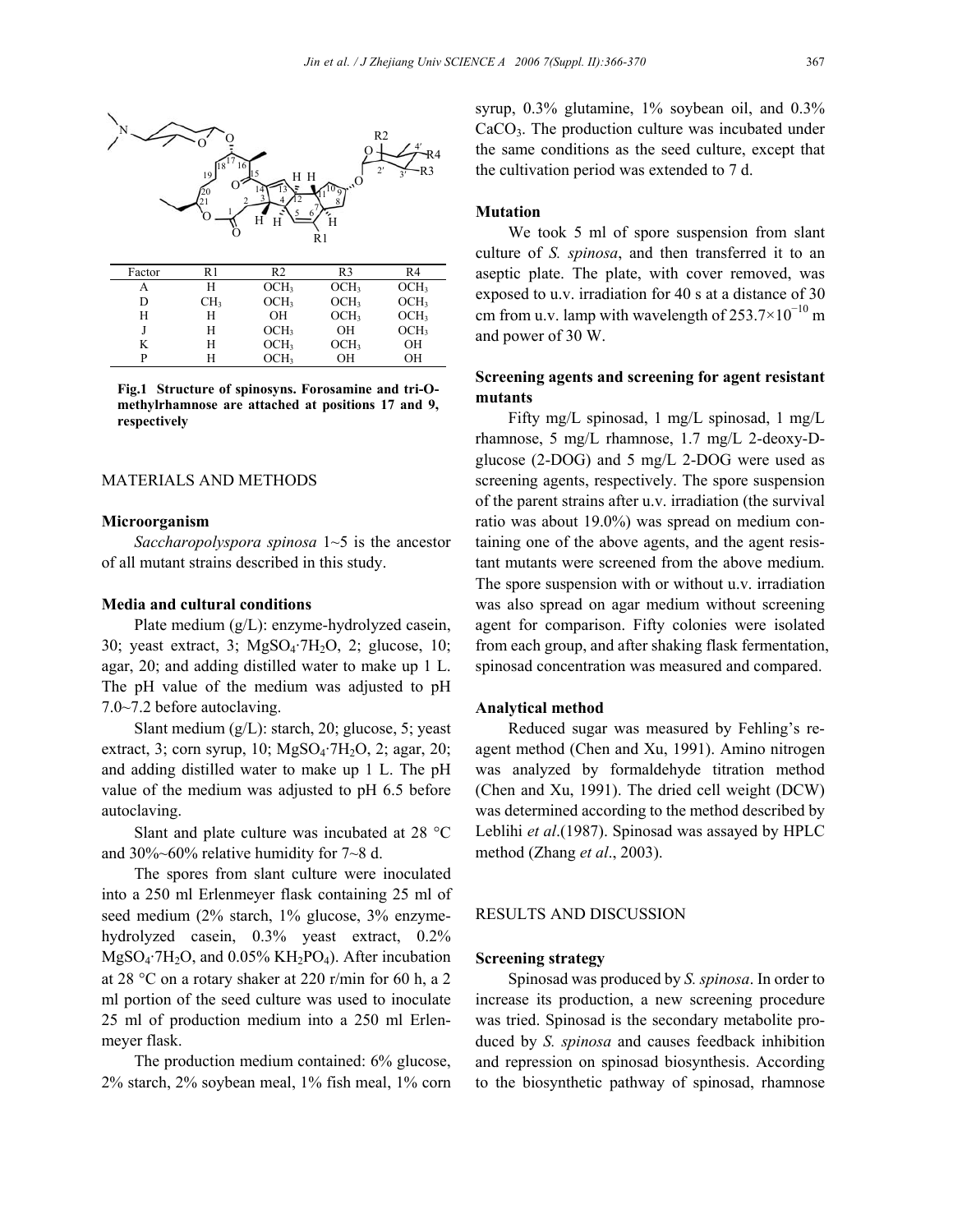

**Fig.1 Structure of spinosyns. Forosamine and tri-Omethylrhamnose are attached at positions 17 and 9, respectively** 

P H OCH<sub>3</sub> OH OH

## MATERIALS AND METHODS

#### **Microorganism**

*Saccharopolyspora spinosa* 1~5 is the ancestor of all mutant strains described in this study.

## **Media and cultural conditions**

Plate medium (g/L): enzyme-hydrolyzed casein, 30; yeast extract, 3;  $MgSO<sub>4</sub>·7H<sub>2</sub>O$ , 2; glucose, 10; agar, 20; and adding distilled water to make up 1 L. The pH value of the medium was adjusted to pH 7.0~7.2 before autoclaving.

Slant medium (g/L): starch, 20; glucose, 5; yeast extract, 3; corn syrup, 10;  $MgSO<sub>4</sub>·7H<sub>2</sub>O$ , 2; agar, 20; and adding distilled water to make up 1 L. The pH value of the medium was adjusted to pH 6.5 before autoclaving.

Slant and plate culture was incubated at 28 °C and 30%~60% relative humidity for 7~8 d.

The spores from slant culture were inoculated into a 250 ml Erlenmeyer flask containing 25 ml of seed medium (2% starch, 1% glucose, 3% enzymehydrolyzed casein, 0.3% yeast extract, 0.2% MgSO<sub>4</sub>·7H<sub>2</sub>O, and 0.05% KH<sub>2</sub>PO<sub>4</sub>). After incubation at 28 °C on a rotary shaker at 220 r/min for 60 h, a 2 ml portion of the seed culture was used to inoculate 25 ml of production medium into a 250 ml Erlenmeyer flask.

The production medium contained: 6% glucose, 2% starch, 2% soybean meal, 1% fish meal, 1% corn syrup, 0.3% glutamine, 1% soybean oil, and 0.3% CaCO3. The production culture was incubated under the same conditions as the seed culture, except that the cultivation period was extended to 7 d.

## **Mutation**

We took 5 ml of spore suspension from slant culture of *S. spinosa*, and then transferred it to an aseptic plate. The plate, with cover removed, was exposed to u.v. irradiation for 40 s at a distance of 30 cm from u.v. lamp with wavelength of  $253.7 \times 10^{-10}$  m and power of 30 W.

# **Screening agents and screening for agent resistant mutants**

Fifty mg/L spinosad, 1 mg/L spinosad, 1 mg/L rhamnose, 5 mg/L rhamnose, 1.7 mg/L 2-deoxy-Dglucose (2-DOG) and 5 mg/L 2-DOG were used as screening agents, respectively. The spore suspension of the parent strains after u.v. irradiation (the survival ratio was about 19.0%) was spread on medium containing one of the above agents, and the agent resistant mutants were screened from the above medium. The spore suspension with or without u.v. irradiation was also spread on agar medium without screening agent for comparison. Fifty colonies were isolated from each group, and after shaking flask fermentation, spinosad concentration was measured and compared.

#### **Analytical method**

Reduced sugar was measured by Fehling's reagent method (Chen and Xu, 1991). Amino nitrogen was analyzed by formaldehyde titration method (Chen and Xu, 1991). The dried cell weight (DCW) was determined according to the method described by Leblihi *et al*.(1987). Spinosad was assayed by HPLC method (Zhang *et al*., 2003).

## RESULTS AND DISCUSSION

# **Screening strategy**

Spinosad was produced by *S. spinosa*. In order to increase its production, a new screening procedure was tried. Spinosad is the secondary metabolite produced by *S. spinosa* and causes feedback inhibition and repression on spinosad biosynthesis. According to the biosynthetic pathway of spinosad, rhamnose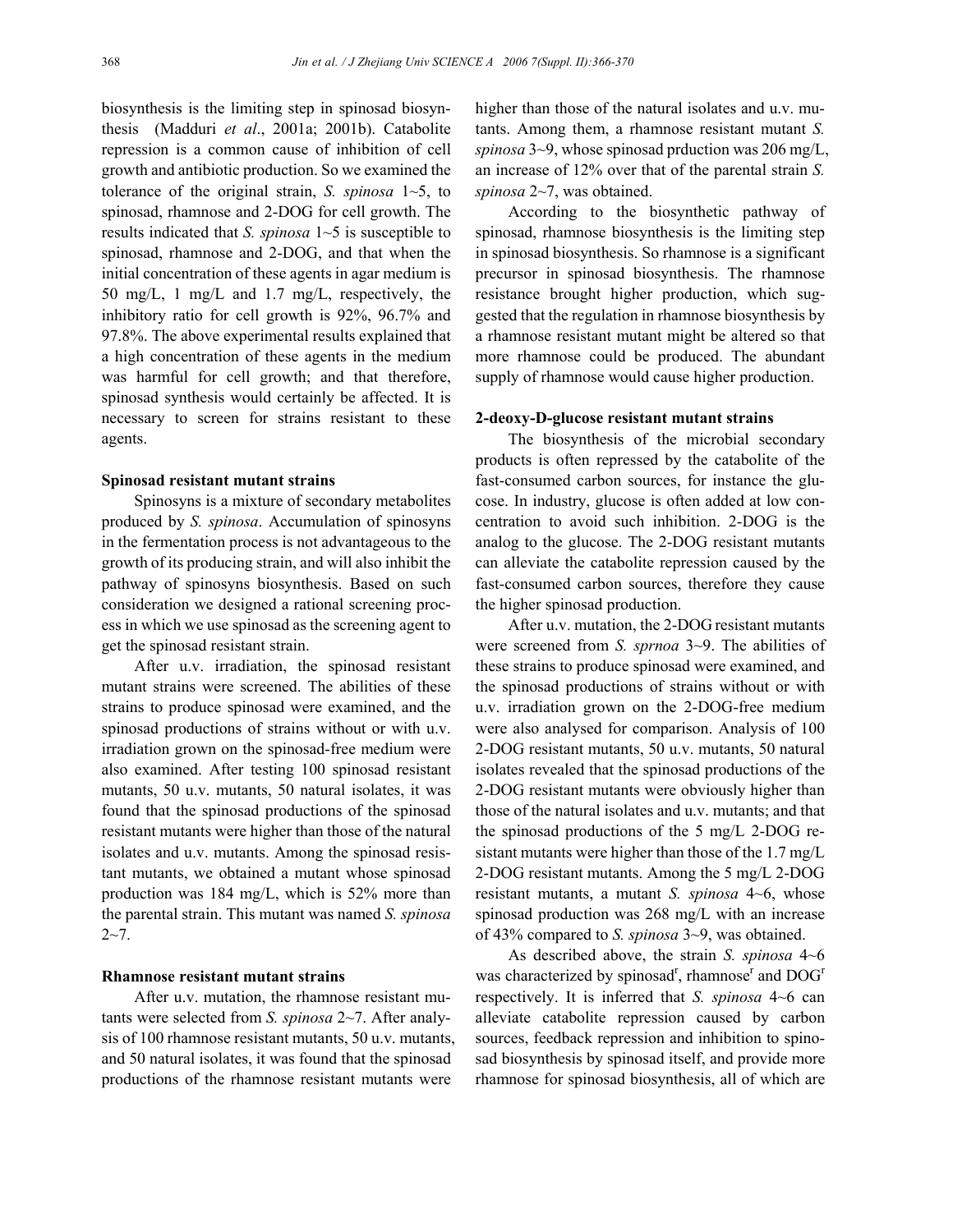biosynthesis is the limiting step in spinosad biosynthesis (Madduri *et al*., 2001a; 2001b). Catabolite repression is a common cause of inhibition of cell growth and antibiotic production. So we examined the tolerance of the original strain, *S. spinosa* 1~5, to spinosad, rhamnose and 2-DOG for cell growth. The results indicated that *S. spinosa* 1~5 is susceptible to spinosad, rhamnose and 2-DOG, and that when the initial concentration of these agents in agar medium is 50 mg/L, 1 mg/L and 1.7 mg/L, respectively, the inhibitory ratio for cell growth is 92%, 96.7% and 97.8%. The above experimental results explained that a high concentration of these agents in the medium was harmful for cell growth; and that therefore, spinosad synthesis would certainly be affected. It is necessary to screen for strains resistant to these agents.

#### **Spinosad resistant mutant strains**

Spinosyns is a mixture of secondary metabolites produced by *S. spinosa*. Accumulation of spinosyns in the fermentation process is not advantageous to the growth of its producing strain, and will also inhibit the pathway of spinosyns biosynthesis. Based on such consideration we designed a rational screening process in which we use spinosad as the screening agent to get the spinosad resistant strain.

After u.v. irradiation, the spinosad resistant mutant strains were screened. The abilities of these strains to produce spinosad were examined, and the spinosad productions of strains without or with u.v. irradiation grown on the spinosad-free medium were also examined. After testing 100 spinosad resistant mutants, 50 u.v. mutants, 50 natural isolates, it was found that the spinosad productions of the spinosad resistant mutants were higher than those of the natural isolates and u.v. mutants. Among the spinosad resistant mutants, we obtained a mutant whose spinosad production was 184 mg/L, which is 52% more than the parental strain. This mutant was named *S. spinosa*  $2 - 7$ .

# **Rhamnose resistant mutant strains**

After u.v. mutation, the rhamnose resistant mutants were selected from *S. spinosa* 2~7. After analysis of 100 rhamnose resistant mutants, 50 u.v. mutants, and 50 natural isolates, it was found that the spinosad productions of the rhamnose resistant mutants were

higher than those of the natural isolates and u.v. mutants. Among them, a rhamnose resistant mutant *S. spinosa* 3~9, whose spinosad prduction was 206 mg/L, an increase of 12% over that of the parental strain *S. spinosa* 2~7, was obtained.

According to the biosynthetic pathway of spinosad, rhamnose biosynthesis is the limiting step in spinosad biosynthesis. So rhamnose is a significant precursor in spinosad biosynthesis. The rhamnose resistance brought higher production, which suggested that the regulation in rhamnose biosynthesis by a rhamnose resistant mutant might be altered so that more rhamnose could be produced. The abundant supply of rhamnose would cause higher production.

#### **2-deoxy-D-glucose resistant mutant strains**

The biosynthesis of the microbial secondary products is often repressed by the catabolite of the fast-consumed carbon sources, for instance the glucose. In industry, glucose is often added at low concentration to avoid such inhibition. 2-DOG is the analog to the glucose. The 2-DOG resistant mutants can alleviate the catabolite repression caused by the fast-consumed carbon sources, therefore they cause the higher spinosad production.

After u.v. mutation, the 2-DOG resistant mutants were screened from *S. sprnoa* 3~9. The abilities of these strains to produce spinosad were examined, and the spinosad productions of strains without or with u.v. irradiation grown on the 2-DOG-free medium were also analysed for comparison. Analysis of 100 2-DOG resistant mutants, 50 u.v. mutants, 50 natural isolates revealed that the spinosad productions of the 2-DOG resistant mutants were obviously higher than those of the natural isolates and u.v. mutants; and that the spinosad productions of the 5 mg/L 2-DOG resistant mutants were higher than those of the 1.7 mg/L 2-DOG resistant mutants. Among the 5 mg/L 2-DOG resistant mutants, a mutant *S. spinosa* 4~6, whose spinosad production was 268 mg/L with an increase of 43% compared to *S. spinosa* 3~9, was obtained.

As described above, the strain *S. spinosa* 4~6 was characterized by spinosad<sup>r</sup>, rhamnose<sup>r</sup> and  $DOG<sup>r</sup>$ respectively. It is inferred that *S. spinosa* 4~6 can alleviate catabolite repression caused by carbon sources, feedback repression and inhibition to spinosad biosynthesis by spinosad itself, and provide more rhamnose for spinosad biosynthesis, all of which are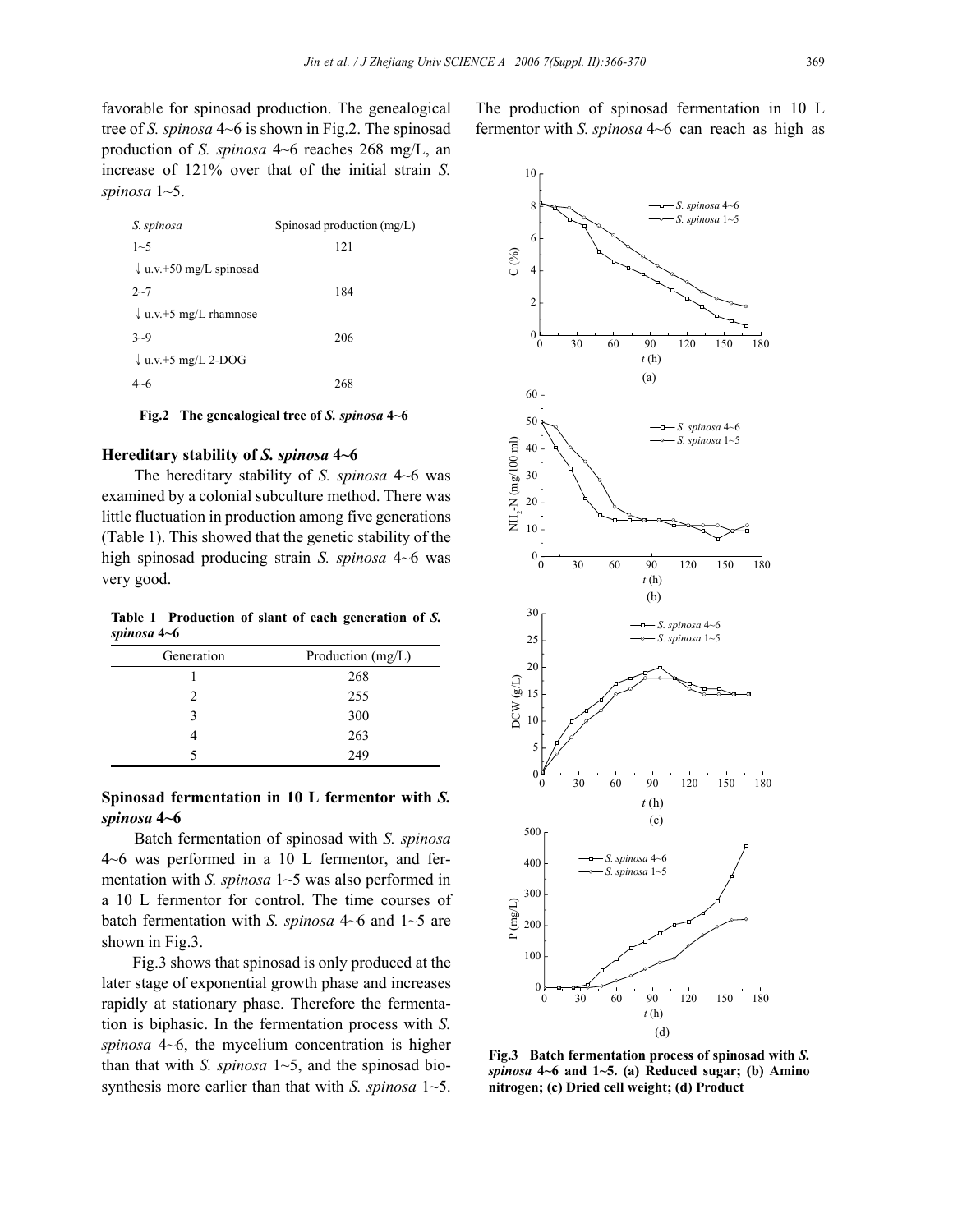favorable for spinosad production. The genealogical tree of *S. spinosa* 4~6 is shown in Fig.2. The spinosad production of *S. spinosa* 4~6 reaches 268 mg/L, an increase of 121% over that of the initial strain *S. spinosa* 1~5.

| S. spinosa                         | Spinosad production (mg/L) |  |
|------------------------------------|----------------------------|--|
| $1 - 5$                            | 121                        |  |
| $\downarrow$ u.v.+50 mg/L spinosad |                            |  |
| $2 - 7$                            | 184                        |  |
| $\downarrow$ u.v.+5 mg/L rhamnose  |                            |  |
| $3 - 9$                            | 206                        |  |
| $\downarrow$ u.v.+5 mg/L 2-DOG     |                            |  |
|                                    | 268                        |  |

**Fig.2 The genealogical tree of** *S. spinosa* **4~6**

## **Hereditary stability of** *S. spinosa* **4~6**

The hereditary stability of *S. spinosa* 4~6 was examined by a colonial subculture method. There was little fluctuation in production among five generations (Table 1). This showed that the genetic stability of the high spinosad producing strain *S. spinosa* 4~6 was very good.

**Table 1 Production of slant of each generation of** *S. spinosa* **4~6**

| Generation | Production (mg/L) |  |
|------------|-------------------|--|
|            | 268               |  |
| 2          | 255               |  |
| 3          | 300               |  |
|            | 263               |  |
|            | 249               |  |

# **Spinosad fermentation in 10 L fermentor with** *S. spinosa* **4~6**

Batch fermentation of spinosad with *S. spinosa*  4~6 was performed in a 10 L fermentor, and fermentation with *S. spinosa* 1~5 was also performed in a 10 L fermentor for control. The time courses of batch fermentation with *S. spinosa* 4~6 and 1~5 are shown in Fig.3.

Fig.3 shows that spinosad is only produced at the later stage of exponential growth phase and increases rapidly at stationary phase. Therefore the fermentation is biphasic. In the fermentation process with *S. spinosa* 4~6, the mycelium concentration is higher than that with *S. spinosa* 1~5, and the spinosad biosynthesis more earlier than that with *S. spinosa* 1~5.



**Fig.3 Batch fermentation process of spinosad with** *S. spinosa* **4~6 and 1~5. (a) Reduced sugar; (b) Amino nitrogen; (c) Dried cell weight; (d) Product**

The production of spinosad fermentation in 10 L fermentor with *S. spinosa* 4~6 can reach as high as